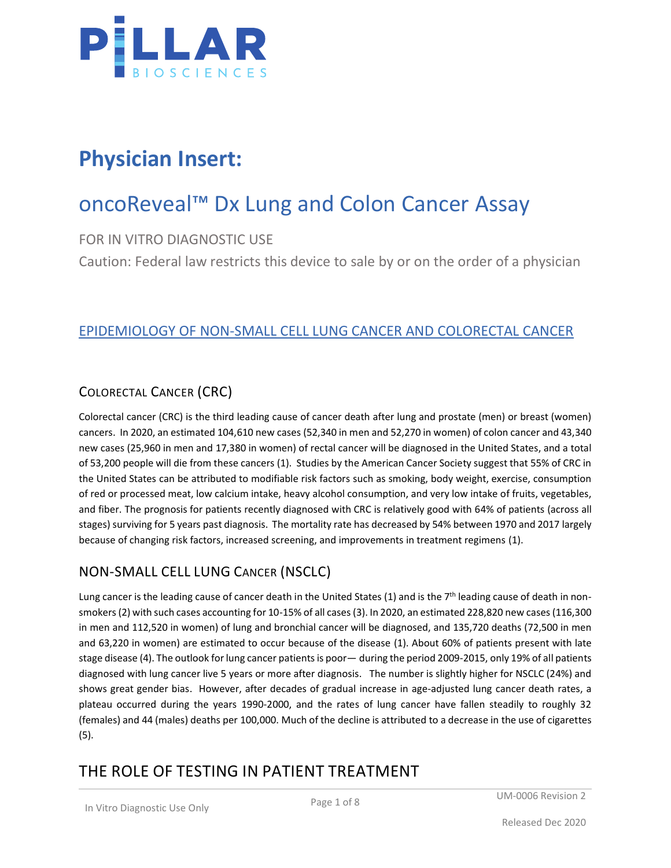

# **Physician Insert:**

# oncoReveal™ Dx Lung and Colon Cancer Assay

FOR IN VITRO DIAGNOSTIC USE

Caution: Federal law restricts this device to sale by or on the order of a physician

#### EPIDEMIOLOGY OF NON-SMALL CELL LUNG CANCER AND COLORECTAL CANCER

#### COLORECTAL CANCER (CRC)

Colorectal cancer (CRC) is the third leading cause of cancer death after lung and prostate (men) or breast (women) cancers. In 2020, an estimated 104,610 new cases (52,340 in men and 52,270 in women) of colon cancer and 43,340 new cases (25,960 in men and 17,380 in women) of rectal cancer will be diagnosed in the United States, and a total of 53,200 people will die from these cancers (1). Studies by the American Cancer Society suggest that 55% of CRC in the United States can be attributed to modifiable risk factors such as smoking, body weight, exercise, consumption of red or processed meat, low calcium intake, heavy alcohol consumption, and very low intake of fruits, vegetables, and fiber. The prognosis for patients recently diagnosed with CRC is relatively good with 64% of patients (across all stages) surviving for 5 years past diagnosis. The mortality rate has decreased by 54% between 1970 and 2017 largely because of changing risk factors, increased screening, and improvements in treatment regimens (1).

#### NON-SMALL CELL LUNG CANCER (NSCLC)

Lung cancer is the leading cause of cancer death in the United States (1) and is the 7<sup>th</sup> leading cause of death in nonsmokers(2) with such cases accounting for 10-15% of all cases(3). In 2020, an estimated 228,820 new cases (116,300 in men and 112,520 in women) of lung and bronchial cancer will be diagnosed, and 135,720 deaths (72,500 in men and 63,220 in women) are estimated to occur because of the disease (1). About 60% of patients present with late stage disease (4). The outlook for lung cancer patients is poor— during the period 2009-2015, only 19% of all patients diagnosed with lung cancer live 5 years or more after diagnosis. The number is slightly higher for NSCLC (24%) and shows great gender bias. However, after decades of gradual increase in age-adjusted lung cancer death rates, a plateau occurred during the years 1990-2000, and the rates of lung cancer have fallen steadily to roughly 32 (females) and 44 (males) deaths per 100,000. Much of the decline is attributed to a decrease in the use of cigarettes (5).

## THE ROLE OF TESTING IN PATIENT TREATMENT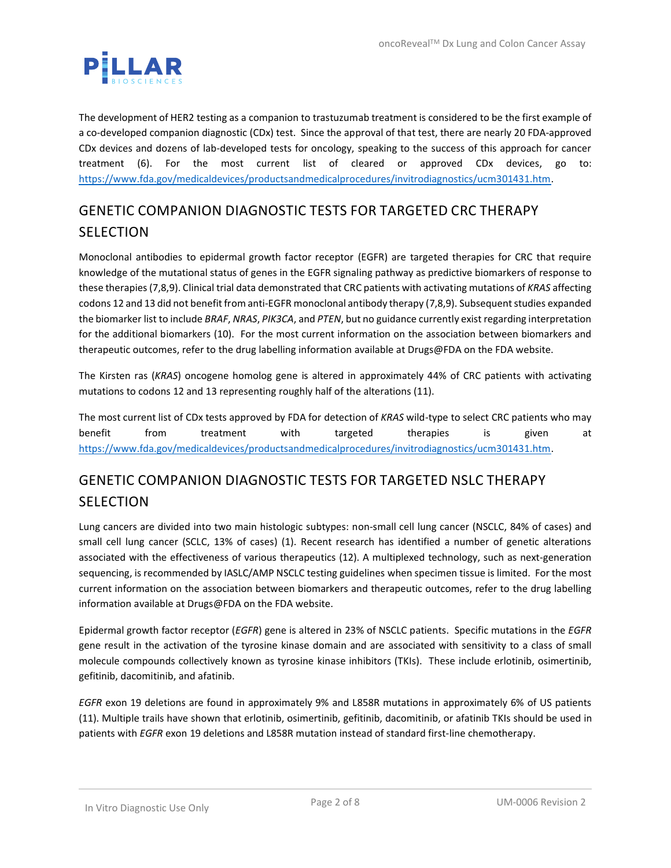

The development of HER2 testing as a companion to trastuzumab treatment is considered to be the first example of a co-developed companion diagnostic (CDx) test. Since the approval of that test, there are nearly 20 FDA-approved CDx devices and dozens of lab-developed tests for oncology, speaking to the success of this approach for cancer treatment (6). For the most current list of cleared or approved CDx devices, go to: [https://www.fda.gov/medicaldevices/productsandmedicalprocedures/invitrodiagnostics/ucm301431.htm.](https://www.fda.gov/medicaldevices/productsandmedicalprocedures/invitrodiagnostics/ucm301431.htm)

# GENETIC COMPANION DIAGNOSTIC TESTS FOR TARGETED CRC THERAPY SELECTION

Monoclonal antibodies to epidermal growth factor receptor (EGFR) are targeted therapies for CRC that require knowledge of the mutational status of genes in the EGFR signaling pathway as predictive biomarkers of response to these therapies(7,8,9). Clinical trial data demonstrated that CRC patients with activating mutations of *KRAS* affecting codons 12 and 13 did not benefit from anti-EGFR monoclonal antibody therapy (7,8,9). Subsequent studies expanded the biomarker list to include *BRAF*, *NRAS*, *PIK3CA*, and *PTEN*, but no guidance currently exist regarding interpretation for the additional biomarkers (10). For the most current information on the association between biomarkers and therapeutic outcomes, refer to the drug labelling information available at Drugs@FDA on the FDA website.

The Kirsten ras (*KRAS*) oncogene homolog gene is altered in approximately 44% of CRC patients with activating mutations to codons 12 and 13 representing roughly half of the alterations (11).

The most current list of CDx tests approved by FDA for detection of *KRAS* wild-type to select CRC patients who may benefit from treatment with targeted therapies is given at [https://www.fda.gov/medicaldevices/productsandmedicalprocedures/invitrodiagnostics/ucm301431.htm.](https://www.fda.gov/medicaldevices/productsandmedicalprocedures/invitrodiagnostics/ucm301431.htm)

## GENETIC COMPANION DIAGNOSTIC TESTS FOR TARGETED NSLC THERAPY SELECTION

Lung cancers are divided into two main histologic subtypes: non-small cell lung cancer (NSCLC, 84% of cases) and small cell lung cancer (SCLC, 13% of cases) (1). Recent research has identified a number of genetic alterations associated with the effectiveness of various therapeutics (12). A multiplexed technology, such as next-generation sequencing, is recommended by IASLC/AMP NSCLC testing guidelines when specimen tissue is limited. For the most current information on the association between biomarkers and therapeutic outcomes, refer to the drug labelling information available at Drugs@FDA on the FDA website.

Epidermal growth factor receptor (*EGFR*) gene is altered in 23% of NSCLC patients. Specific mutations in the *EGFR* gene result in the activation of the tyrosine kinase domain and are associated with sensitivity to a class of small molecule compounds collectively known as tyrosine kinase inhibitors (TKIs). These include erlotinib, osimertinib, gefitinib, dacomitinib, and afatinib.

*EGFR* exon 19 deletions are found in approximately 9% and L858R mutations in approximately 6% of US patients (11). Multiple trails have shown that erlotinib, osimertinib, gefitinib, dacomitinib, or afatinib TKIs should be used in patients with *EGFR* exon 19 deletions and L858R mutation instead of standard first-line chemotherapy.

In Vitro Diagnostic Use Only Page 2 of 8 UM-0006 Revision 2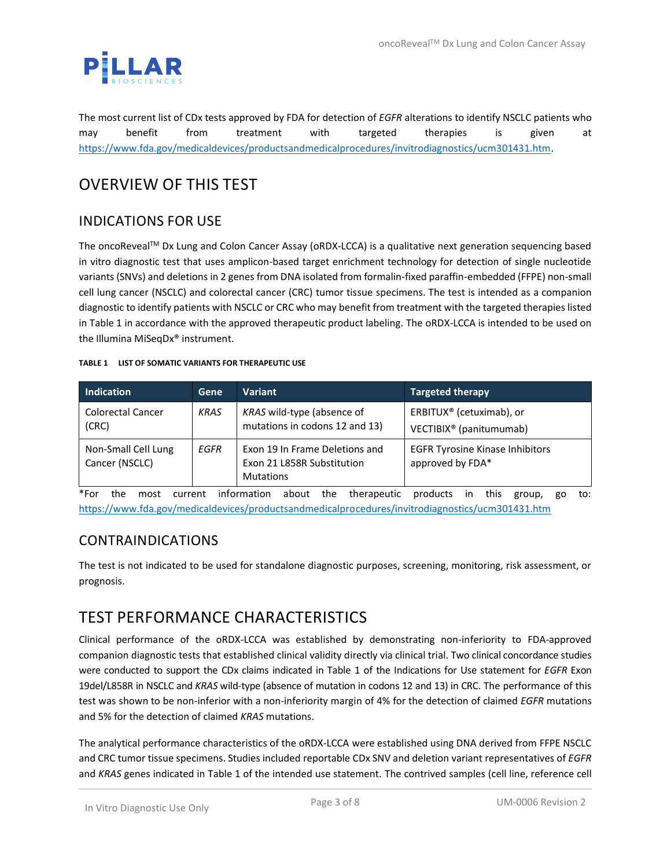

The most current list of CDx tests approved by FDA for detection of *EGFR* alterations to identify NSCLC patients who may benefit from treatment with targeted therapies is given at [https://www.fda.gov/medicaldevices/productsandmedicalprocedures/invitrodiagnostics/ucm301431.htm.](https://www.fda.gov/medicaldevices/productsandmedicalprocedures/invitrodiagnostics/ucm301431.htm)

# OVERVIEW OF THIS TEST

#### INDICATIONS FOR USE

The oncoRevealTM Dx Lung and Colon Cancer Assay (oRDX-LCCA) is a qualitative next generation sequencing based in vitro diagnostic test that uses amplicon-based target enrichment technology for detection of single nucleotide variants (SNVs) and deletions in 2 genes from DNA isolated from formalin-fixed paraffin-embedded (FFPE) non-small cell lung cancer (NSCLC) and colorectal cancer (CRC) tumor tissue specimens. The test is intended as a companion diagnostic to identify patients with NSCLC or CRC who may benefit from treatment with the targeted therapies listed in Table 1 in accordance with the approved therapeutic product labeling. The oRDX-LCCA is intended to be used on the Illumina MiSeqDx® instrument.

| TABLE 1 LIST OF SOMATIC VARIANTS FOR THERAPEUTIC USE |
|------------------------------------------------------|

| <b>Indication</b>                     | Gene        | <b>Variant</b>                                                                   | <b>Targeted therapy</b>                                                     |
|---------------------------------------|-------------|----------------------------------------------------------------------------------|-----------------------------------------------------------------------------|
| <b>Colorectal Cancer</b><br>(CRC)     | <b>KRAS</b> | KRAS wild-type (absence of<br>mutations in codons 12 and 13)                     | ERBITUX <sup>®</sup> (cetuximab), or<br>VECTIBIX <sup>®</sup> (panitumumab) |
| Non-Small Cell Lung<br>Cancer (NSCLC) | EGFR        | Exon 19 In Frame Deletions and<br>Exon 21 L858R Substitution<br><b>Mutations</b> | <b>EGFR Tyrosine Kinase Inhibitors</b><br>approved by FDA*                  |

\*For the most current information about the therapeutic products in this group, go to: <https://www.fda.gov/medicaldevices/productsandmedicalprocedures/invitrodiagnostics/ucm301431.htm>

#### CONTRAINDICATIONS

The test is not indicated to be used for standalone diagnostic purposes, screening, monitoring, risk assessment, or prognosis.

## TEST PERFORMANCE CHARACTERISTICS

Clinical performance of the oRDX-LCCA was established by demonstrating non-inferiority to FDA-approved companion diagnostic tests that established clinical validity directly via clinical trial. Two clinical concordance studies were conducted to support the CDx claims indicated in Table 1 of the Indications for Use statement for *EGFR* Exon 19del/L858R in NSCLC and *KRAS* wild-type (absence of mutation in codons 12 and 13) in CRC. The performance of this test was shown to be non-inferior with a non-inferiority margin of 4% for the detection of claimed *EGFR* mutations and 5% for the detection of claimed *KRAS* mutations.

The analytical performance characteristics of the oRDX-LCCA were established using DNA derived from FFPE NSCLC and CRC tumor tissue specimens. Studies included reportable CDx SNV and deletion variant representatives of *EGFR* and *KRAS* genes indicated in Table 1 of the intended use statement. The contrived samples (cell line, reference cell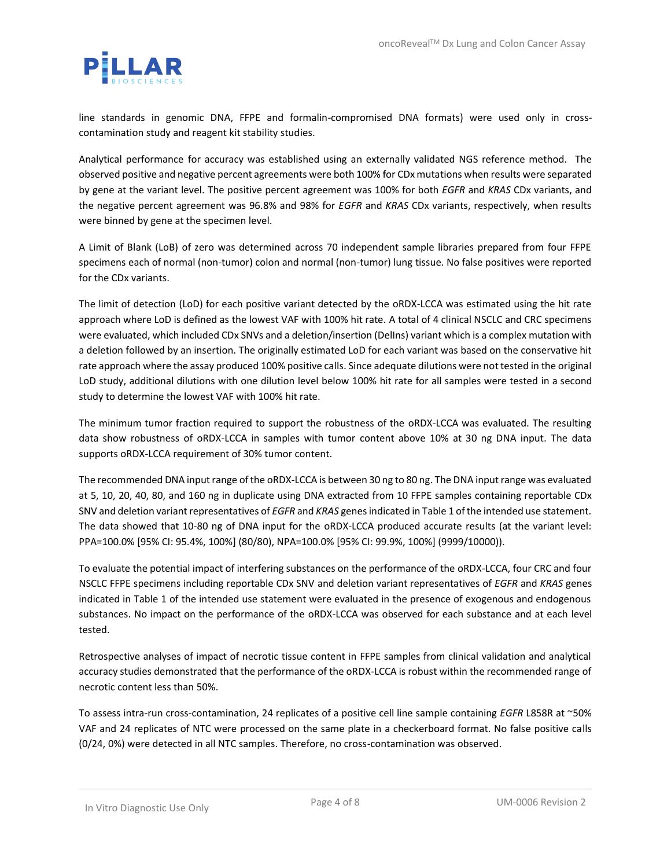

line standards in genomic DNA, FFPE and formalin-compromised DNA formats) were used only in crosscontamination study and reagent kit stability studies.

Analytical performance for accuracy was established using an externally validated NGS reference method. The observed positive and negative percent agreements were both 100% for CDx mutations when results were separated by gene at the variant level. The positive percent agreement was 100% for both *EGFR* and *KRAS* CDx variants, and the negative percent agreement was 96.8% and 98% for *EGFR* and *KRAS* CDx variants, respectively, when results were binned by gene at the specimen level.

A Limit of Blank (LoB) of zero was determined across 70 independent sample libraries prepared from four FFPE specimens each of normal (non-tumor) colon and normal (non-tumor) lung tissue. No false positives were reported for the CDx variants.

The limit of detection (LoD) for each positive variant detected by the oRDX-LCCA was estimated using the hit rate approach where LoD is defined as the lowest VAF with 100% hit rate. A total of 4 clinical NSCLC and CRC specimens were evaluated, which included CDx SNVs and a deletion/insertion (DelIns) variant which is a complex mutation with a deletion followed by an insertion. The originally estimated LoD for each variant was based on the conservative hit rate approach where the assay produced 100% positive calls. Since adequate dilutions were not tested in the original LoD study, additional dilutions with one dilution level below 100% hit rate for all samples were tested in a second study to determine the lowest VAF with 100% hit rate.

The minimum tumor fraction required to support the robustness of the oRDX-LCCA was evaluated. The resulting data show robustness of oRDX-LCCA in samples with tumor content above 10% at 30 ng DNA input. The data supports oRDX-LCCA requirement of 30% tumor content.

The recommended DNA input range of the oRDX-LCCA is between 30 ng to 80 ng. The DNA input range was evaluated at 5, 10, 20, 40, 80, and 160 ng in duplicate using DNA extracted from 10 FFPE samples containing reportable CDx SNV and deletion variant representatives of *EGFR* and *KRAS* genes indicated in Table 1 of the intended use statement. The data showed that 10-80 ng of DNA input for the oRDX-LCCA produced accurate results (at the variant level: PPA=100.0% [95% CI: 95.4%, 100%] (80/80), NPA=100.0% [95% CI: 99.9%, 100%] (9999/10000)).

To evaluate the potential impact of interfering substances on the performance of the oRDX-LCCA, four CRC and four NSCLC FFPE specimens including reportable CDx SNV and deletion variant representatives of *EGFR* and *KRAS* genes indicated in Table 1 of the intended use statement were evaluated in the presence of exogenous and endogenous substances. No impact on the performance of the oRDX-LCCA was observed for each substance and at each level tested.

Retrospective analyses of impact of necrotic tissue content in FFPE samples from clinical validation and analytical accuracy studies demonstrated that the performance of the oRDX-LCCA is robust within the recommended range of necrotic content less than 50%.

To assess intra-run cross-contamination, 24 replicates of a positive cell line sample containing *EGFR* L858R at ~50% VAF and 24 replicates of NTC were processed on the same plate in a checkerboard format. No false positive calls (0/24, 0%) were detected in all NTC samples. Therefore, no cross-contamination was observed.

In Vitro Diagnostic Use Only Page 4 of 8 VIII Processes and DM-0006 Revision 2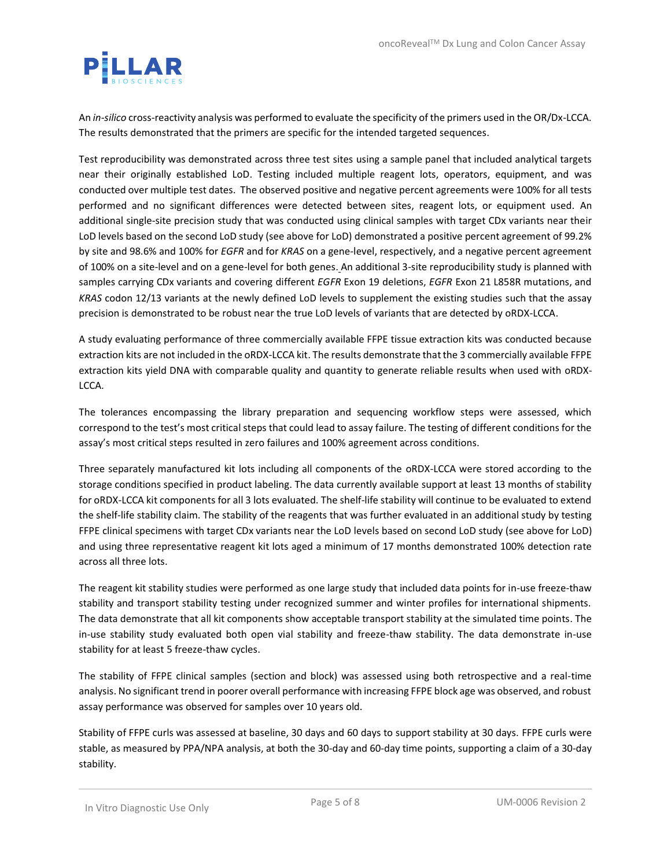

An *in-silico* cross-reactivity analysis was performed to evaluate the specificity of the primers used in the OR/Dx-LCCA. The results demonstrated that the primers are specific for the intended targeted sequences.

Test reproducibility was demonstrated across three test sites using a sample panel that included analytical targets near their originally established LoD. Testing included multiple reagent lots, operators, equipment, and was conducted over multiple test dates. The observed positive and negative percent agreements were 100% for all tests performed and no significant differences were detected between sites, reagent lots, or equipment used. An additional single-site precision study that was conducted using clinical samples with target CDx variants near their LoD levels based on the second LoD study (see above for LoD) demonstrated a positive percent agreement of 99.2% by site and 98.6% and 100% for *EGFR* and for *KRAS* on a gene-level, respectively, and a negative percent agreement of 100% on a site-level and on a gene-level for both genes. An additional 3-site reproducibility study is planned with samples carrying CDx variants and covering different *EGFR* Exon 19 deletions, *EGFR* Exon 21 L858R mutations, and *KRAS* codon 12/13 variants at the newly defined LoD levels to supplement the existing studies such that the assay precision is demonstrated to be robust near the true LoD levels of variants that are detected by oRDX-LCCA.

A study evaluating performance of three commercially available FFPE tissue extraction kits was conducted because extraction kits are not included in the oRDX-LCCA kit. The results demonstrate that the 3 commercially available FFPE extraction kits yield DNA with comparable quality and quantity to generate reliable results when used with oRDX-LCCA.

The tolerances encompassing the library preparation and sequencing workflow steps were assessed, which correspond to the test's most critical steps that could lead to assay failure. The testing of different conditions for the assay's most critical steps resulted in zero failures and 100% agreement across conditions.

Three separately manufactured kit lots including all components of the oRDX-LCCA were stored according to the storage conditions specified in product labeling. The data currently available support at least 13 months of stability for oRDX-LCCA kit components for all 3 lots evaluated. The shelf-life stability will continue to be evaluated to extend the shelf-life stability claim. The stability of the reagents that was further evaluated in an additional study by testing FFPE clinical specimens with target CDx variants near the LoD levels based on second LoD study (see above for LoD) and using three representative reagent kit lots aged a minimum of 17 months demonstrated 100% detection rate across all three lots.

The reagent kit stability studies were performed as one large study that included data points for in-use freeze-thaw stability and transport stability testing under recognized summer and winter profiles for international shipments. The data demonstrate that all kit components show acceptable transport stability at the simulated time points. The in-use stability study evaluated both open vial stability and freeze-thaw stability. The data demonstrate in-use stability for at least 5 freeze-thaw cycles.

The stability of FFPE clinical samples (section and block) was assessed using both retrospective and a real-time analysis. No significant trend in poorer overall performance with increasing FFPE block age was observed, and robust assay performance was observed for samples over 10 years old.

Stability of FFPE curls was assessed at baseline, 30 days and 60 days to support stability at 30 days. FFPE curls were stable, as measured by PPA/NPA analysis, at both the 30-day and 60-day time points, supporting a claim of a 30-day stability.

In Vitro Diagnostic Use Only Page 5 of 8 UM-0006 Revision 2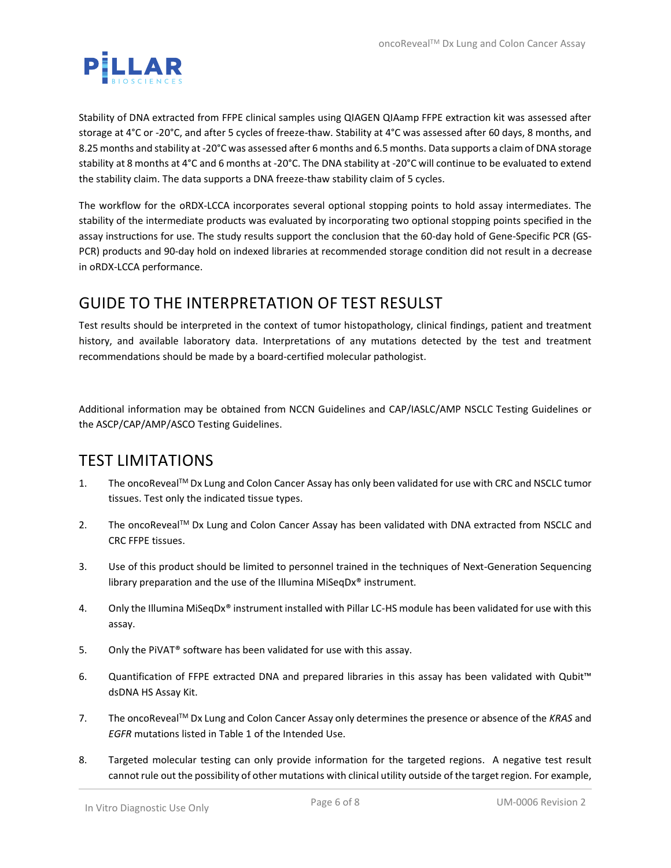

Stability of DNA extracted from FFPE clinical samples using QIAGEN QIAamp FFPE extraction kit was assessed after storage at 4°C or -20°C, and after 5 cycles of freeze-thaw. Stability at 4°C was assessed after 60 days, 8 months, and 8.25 months and stability at -20°C was assessed after 6 months and 6.5 months. Data supports a claim of DNA storage stability at 8 months at 4°C and 6 months at -20°C. The DNA stability at -20°C will continue to be evaluated to extend the stability claim. The data supports a DNA freeze-thaw stability claim of 5 cycles.

The workflow for the oRDX-LCCA incorporates several optional stopping points to hold assay intermediates. The stability of the intermediate products was evaluated by incorporating two optional stopping points specified in the assay instructions for use. The study results support the conclusion that the 60-day hold of Gene-Specific PCR (GS-PCR) products and 90-day hold on indexed libraries at recommended storage condition did not result in a decrease in oRDX-LCCA performance.

# GUIDE TO THE INTERPRETATION OF TEST RESULST

Test results should be interpreted in the context of tumor histopathology, clinical findings, patient and treatment history, and available laboratory data. Interpretations of any mutations detected by the test and treatment recommendations should be made by a board-certified molecular pathologist.

Additional information may be obtained from NCCN Guidelines and CAP/IASLC/AMP NSCLC Testing Guidelines or the ASCP/CAP/AMP/ASCO Testing Guidelines.

## TEST LIMITATIONS

- 1. The oncoRevealTM Dx Lung and Colon Cancer Assay has only been validated for use with CRC and NSCLC tumor tissues. Test only the indicated tissue types.
- 2. The oncoReveal™ Dx Lung and Colon Cancer Assay has been validated with DNA extracted from NSCLC and CRC FFPE tissues.
- 3. Use of this product should be limited to personnel trained in the techniques of Next-Generation Sequencing library preparation and the use of the Illumina MiSeqDx® instrument.
- 4. Only the Illumina MiSeqDx® instrument installed with Pillar LC-HS module has been validated for use with this assay.
- 5. Only the PiVAT® software has been validated for use with this assay.
- 6. Quantification of FFPE extracted DNA and prepared libraries in this assay has been validated with Qubit™ dsDNA HS Assay Kit.
- 7. The oncoRevealTM Dx Lung and Colon Cancer Assay only determines the presence or absence of the *KRAS* and *EGFR* mutations listed in Table 1 of the Intended Use.
- 8. Targeted molecular testing can only provide information for the targeted regions. A negative test result cannot rule out the possibility of other mutations with clinical utility outside of the target region. For example,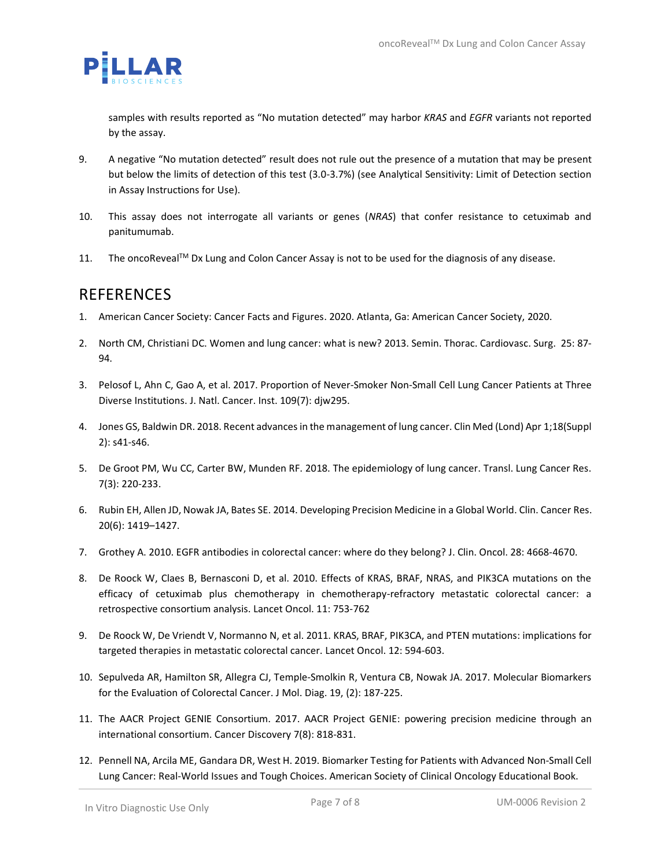

samples with results reported as "No mutation detected" may harbor *KRAS* and *EGFR* variants not reported by the assay.

- 9. A negative "No mutation detected" result does not rule out the presence of a mutation that may be present but below the limits of detection of this test (3.0-3.7%) (see Analytical Sensitivity: Limit of Detection section in Assay Instructions for Use).
- 10. This assay does not interrogate all variants or genes (*NRAS*) that confer resistance to cetuximab and panitumumab.
- 11. The oncoRevealTM Dx Lung and Colon Cancer Assay is not to be used for the diagnosis of any disease.

# REFERENCES

- 1. American Cancer Society: Cancer Facts and Figures. 2020. Atlanta, Ga: American Cancer Society, 2020.
- 2. North CM, Christiani DC. Women and lung cancer: what is new? 2013. Semin. Thorac. Cardiovasc. Surg. 25: 87- 94.
- 3. Pelosof L, Ahn C, Gao A, et al. 2017. Proportion of Never-Smoker Non-Small Cell Lung Cancer Patients at Three Diverse Institutions. J. Natl. Cancer. Inst. 109(7): djw295.
- 4. Jones GS, Baldwin DR. 2018. Recent advances in the management of lung cancer. Clin Med (Lond) Apr 1;18(Suppl 2): s41-s46.
- 5. De Groot PM, Wu CC, Carter BW, Munden RF. 2018. The epidemiology of lung cancer. Transl. Lung Cancer Res. 7(3): 220-233.
- 6. Rubin EH, Allen JD, Nowak JA, Bates SE. 2014. Developing Precision Medicine in a Global World. Clin. Cancer Res. 20(6): 1419–1427.
- 7. Grothey A. 2010. EGFR antibodies in colorectal cancer: where do they belong? J. Clin. Oncol. 28: 4668-4670.
- 8. De Roock W, Claes B, Bernasconi D, et al. 2010. Effects of KRAS, BRAF, NRAS, and PIK3CA mutations on the efficacy of cetuximab plus chemotherapy in chemotherapy-refractory metastatic colorectal cancer: a retrospective consortium analysis. Lancet Oncol. 11: 753-762
- 9. De Roock W, De Vriendt V, Normanno N, et al. 2011. KRAS, BRAF, PIK3CA, and PTEN mutations: implications for targeted therapies in metastatic colorectal cancer. Lancet Oncol. 12: 594-603.
- 10. Sepulveda AR, Hamilton SR, Allegra CJ, Temple-Smolkin R, Ventura CB, Nowak JA. 2017. Molecular Biomarkers for the Evaluation of Colorectal Cancer. J Mol. Diag. 19, (2): 187-225.
- 11. The AACR Project GENIE Consortium. 2017. AACR Project GENIE: powering precision medicine through an international consortium. Cancer Discovery 7(8): 818-831.
- 12. Pennell NA, Arcila ME, Gandara DR, West H. 2019. Biomarker Testing for Patients with Advanced Non-Small Cell Lung Cancer: Real-World Issues and Tough Choices. American Society of Clinical Oncology Educational Book.